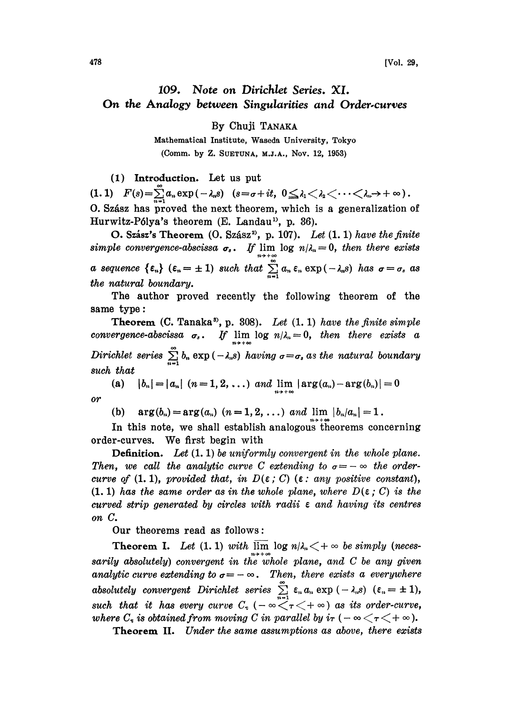## 109. Note on Dirichlet Series. XI. On the Analogy between Singularities and Order.curves

By Chuji

Mathematical Institute, Waseda University, Tokyo (Comm. by Z. SUETUNA, M.J.A., Nov. 12, 1953)

(1) Introduction. Let us put

(1.1)  $F(s) = \sum_{n=1}^{\infty} a_n \exp(-\lambda_n s)$   $(s = \sigma + it, 0 \leq \lambda_1 < \lambda_2 < \cdots < \lambda_n \rightarrow +\infty)$ . O. Szász has proved the next theorem, which is a generalization of Hurwitz-Pólya's theorem (E. Landau<sup>1)</sup>, p. 36).

O. Szász's Theorem  $(0. Szász^2, p. 107)$ . Let  $(1.1)$  have the finite simple convergence-abscissa  $\sigma_s$ . If lim log  $n/\lambda_s = 0$ , then there exists a sequence  $\{\varepsilon_n\}$   $(\varepsilon_n = \pm 1)$  such that  $\sum_{n=1}^{\infty} a_n \varepsilon_n \exp(-\lambda_n s)$  has  $\sigma = \sigma_s$  as the natural boundary.

The author proved recently the following theorem of the same type:

**Theorem (C. Tanaka<sup>3</sup>, p.** 308). Let  $(1, 1)$  have the finite simple convergence-abscissa  $\sigma_s$ . If  $\lim_{n \to \infty} \log n/\lambda_n = 0$ , then there exists a Dirichlet series  $\sum_{n=1}^{\infty} b_n \exp(-\lambda_n s)$  having  $\sigma = \sigma_s$  as the natural boundary such that

(a)  $|b_n|=|a_n|$   $(n=1, 2, ...)$  and  $\lim_{n\to+\infty} |\arg(a_n)-\arg(b_n)|=0$ o

(b)  $arg(b_n)=arg(a_n)$   $(n=1, 2, ...)$  and lim  $|b_n/a_n|=1$ .

In this note, we shall establish analogous theorems concerning order-curves. We first begin with

Definition. Let  $(1, 1)$  be uniformly convergent in the whole plane. Then, we call the analytic curve C extending to  $\sigma = -\infty$  the ordercurve of (1. 1), provided that, in  $D(\varepsilon; C)$  ( $\varepsilon$ : any positive constant),  $(1, 1)$  has the same order as in the whole plane, where  $D(\varepsilon; C)$  is the curved strip generated by circles with radii  $\epsilon$  and having its centres on C.

Our theorems read as follows:

Theorem I. Let (1.1) with  $\overline{\lim} \log n/\lambda_n < +\infty$  be simply (necessarily absolutely) convergent in the whole plane, and  $C$  be any given analytic curve extending to  $\sigma = -\infty$ . Then, there exists a everywhere absolutely convergent Dirichlet series  $\sum \epsilon_n a_n \exp(-\lambda_n s)$   $(\epsilon_n = \pm 1),$ absolutely convergent Dirichlet series  $\sum_{n=1}^{\infty} \epsilon_n a_n \exp(-\lambda_n s)$   $(\epsilon_n = \pm 1)$ ,<br>such that it has every curve  $C_{\tau}$   $(-\infty < \tau < +\infty)$  as its order-curve,<br>where  $C_{\tau}$  is obtained from moving C in parallel by  $i\tau$   $(-\infty < \$ such that it has every curve  $C_{\tau}$  ( $-\infty < \tau < +\infty$ ) as its order-curve,<br>where  $C_{\tau}$  is obtained from moving C in parallel by  $i\tau$  ( $-\infty < \tau < +\infty$ ).

Theorem II. Under the same assumptions as above, there exists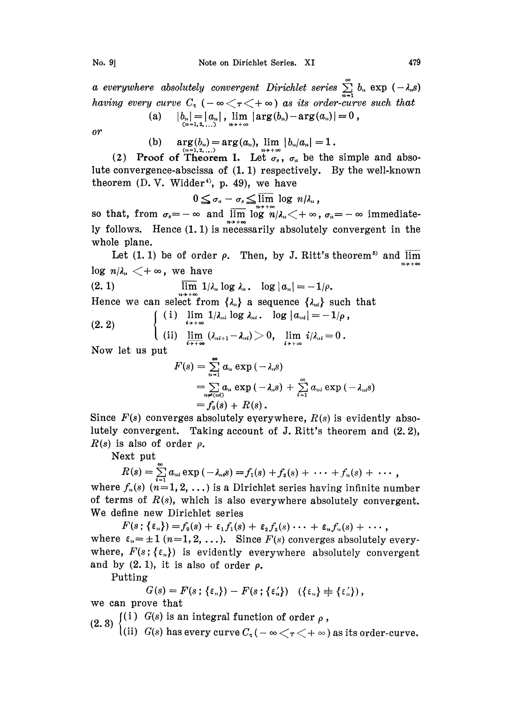a everywhere absolutely convergent Dirichlet series  $\sum_{n=1}^{\infty} b_n$  exp  $(-\lambda_n s)$ having every curve  $C_{\tau}$  ( $-\infty < \tau < +\infty$ ) as its order-curve such that

(a) 
$$
|b_n| = |a_n|
$$
,  $\lim_{n \to +\infty} |\arg(b_n) - \arg(a_n)| = 0$ ,

 $or$ 

(b) 
$$
\arg(b_n) = \arg(a_n)
$$
,  $\lim_{n \to +\infty} |b_n/a_n| = 1$ .

(2) Proof of Theorem I. Let  $\sigma_s$ ,  $\sigma_a$  be the simple and absolute convergence-abscissa of (1.1) respectively. By the well-known theorem (D. V. Widder<sup>4</sup>), p. 49), we have<br> $0 \leq \sigma_a - \sigma_s \leq \overline{\lim}$  log

$$
0\leq \sigma_a-\sigma_s\leq \overline{\lim_{n\to+\infty}}\ \log\ n/\lambda_n,
$$

so that, from  $\sigma_s = -\infty$  and  $\overline{\lim} \log n/\lambda_n < +\infty$ ,  $\sigma_a = -\infty$  immediately follows. Hence  $(1.1)$  is necessarily absolutely convergent in the whole plane.

Let  $(1.1)$  be of order  $\rho$ . Then, by J. Ritt's theorem<sup>5</sup> and  $\overline{\lim}$  $\log n/\lambda_n < +\infty$ , we have

(2. 1) 
$$
\overline{\lim}_{n \to +\infty} 1/\lambda_n \log \lambda_n
$$
.  $\log |a_n| = -1/\rho$ .  
\nHence we can select from  $\{\lambda_n\}$  a sequence  $\{\lambda_{ni}\}$  such that  
\n(2. 2) 
$$
\begin{cases}\n(i) \lim_{i \to +\infty} 1/\lambda_{ni} \log \lambda_{ni}
$$
.  $\log |a_{ni}| = -1/\rho,$   
\n(ii) 
$$
\lim_{i \to +\infty} (\lambda_{ni+1} - \lambda_{ni}) > 0, \lim_{i \to +\infty} i/\lambda_{ni} = 0.\n\end{cases}
$$

Now let us put

$$
\begin{aligned} F(s)&=\sum_{n=1}^{\infty}a_n\exp\left(-\lambda_ns\right) \\ &=\sum_{n\neq (ni)}a_n\exp\left(-\lambda_ns\right)+\sum_{i=1}^{\infty}a_{ni}\exp\left(-\lambda_{ni}s\right) \\ &=f_0(s)+R(s)\, .\end{aligned}
$$

Since  $F(s)$  converges absolutely everywhere,  $R(s)$  is evidently absolute]y convergent. Taking account of J. Ritt's theorem and (2.2),  $R(s)$  is also of order  $\rho$ .

Next put

 $R(s) = \sum_{i=1}^{\infty} a_{ni} \exp(-\lambda_{ni}s) = f_1(s) + f_2(s) + \cdots + f_n(s) + \cdots,$ 

where  $f_n(s)$   $(n=1, 2, ...)$  is a Dirichlet series having infinite number of terms of  $R(s)$ , which is also everywhere absolutely convergent. We define new Dirichlet series

 $F(s; {\{\epsilon_n\}})=f_0(s) + {\epsilon_1}f_1(s) + {\epsilon_2}f_2(s) \cdots + {\epsilon_n}f_n(s) + \cdots,$ where  $\varepsilon_n = \pm 1$   $(n=1, 2, \ldots)$ . Since  $F(s)$  converges absolutely everywhere,  $F(s; {\varepsilon_n})$  is evidently everywhere absolutely convergent and by  $(2. 1)$ , it is also of order  $\rho$ .

Putting

$$
G(s) = F(s; \{\varepsilon_n\}) - F(s; \{\varepsilon_n'\}) \quad (\{\varepsilon_n\} \neq \{\varepsilon_n'\}),
$$

we can prove that

(2. 3)  $\begin{cases} (1) \;\; G(s) \;\text{is an integral function of order $\rho$} \,, \ (2, 3) \;\; (ii) \;\; G(s) \;\text{has every curve} \, C_\tau \, (- \; \infty \, < \tau \, < + \; \infty) \;\text{as its order-curve}. \end{cases}$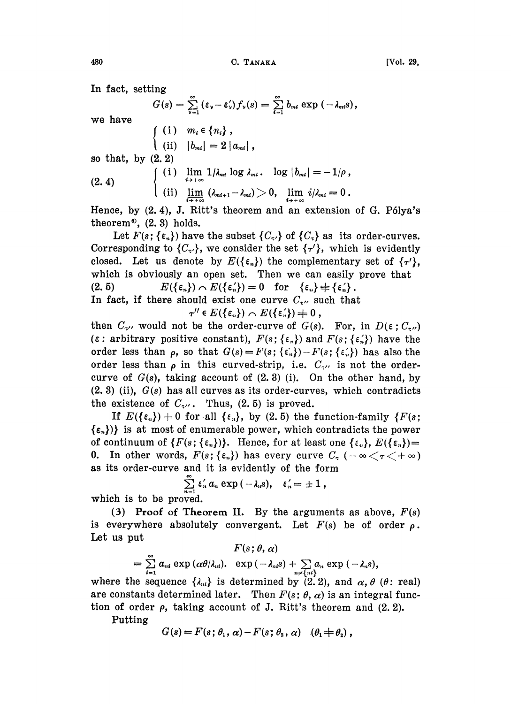In fact, setting

$$
G(s) = \sum_{\nu=1}^{\infty} (\varepsilon_{\nu} - \varepsilon_{\nu}') f_{\nu}(s) = \sum_{i=1}^{\infty} b_{m i} \exp(-\lambda_{m i} s),
$$

we have

$$
\begin{cases}\n(i) & m_i \in \{n_i\}, \\
(i) & |b_{mi}| = 2 |a_{mi}|, \\
\text{so that, by (2, 2)} \\
(2.4) & \begin{cases}\n(i) & \lim_{i \to +\infty} 1/\lambda_{mi} \log \lambda_{mi}. & \log |b_{mi}| = -1/\rho, \\
(i) & \lim_{i \to +\infty} (\lambda_{mi+1} - \lambda_{mi}) > 0, & \lim_{i \to +\infty} i/\lambda_{mi} = 0.\n\end{cases}\n\end{cases}
$$

Hence, by  $(2.4)$ , J. Ritt's theorem and an extension of G. Pólya's theorem<sup>®</sup>,  $(2, 3)$  holds.

Let  $F(s; {\varepsilon_n})$  have the subset  ${C_{\tau}}$  of  ${C_{\tau}}$  as its order-curves. Corresponding to  $\{C_{\tau}\}\$ , we consider the set  $\{\tau'\}$ , which is evidently closed. Let us denote by  $E(\{\epsilon_n\})$  the complementary set of  $\{\tau'\},$ which is obviously an open set. Then we can easily prove that (2.5)  $E(\{\varepsilon_n\}) \cap E(\{\varepsilon_n'\}) = 0$  for  $\{\varepsilon_n\} \neq \{\varepsilon_n'\}.$ In fact, if there should exist one curve  $C_{\tau}$ , such that

 $\tau'' \in E(\{\epsilon_n\}) \cap E(\{\epsilon_n'\}) \neq 0$ ,

then  $C_{\tau}$ , would not be the order-curve of  $G(s)$ . For, in  $D(\epsilon; C_{\tau})$  $(\epsilon:$  arbitrary positive constant),  $F(s; {\{\epsilon_n\}})$  and  $F(s; {\{\epsilon'_n\}})$  have the order less than  $\rho$ , so that  $G(s) = F(s; {\epsilon_n})-F(s; {\epsilon_n})$  has also the order less than  $\rho$  in this curved-strip, i.e.  $C_{\tau}$  is not the ordercurve of  $G(s)$ , taking account of  $(2, 3)$  (i). On the other hand, by  $(2.3)$  (ii),  $G(s)$  has all curves as its order-curves, which contradicts the existence of  $C_{\tau}$ . Thus, (2.5) is proved.

If  $E(\{\epsilon_n\}) = 0$  for all  $\{\epsilon_n\}$ , by (2.5) the function-family  $\{F(s;$  $\{\varepsilon_n\}\}\$  is at most of enumerable power, which contradicts the power of continuum of  $\{F(s; \{\epsilon_n\})\}$ . Hence, for at least one  $\{\epsilon_n\}, E(\{\epsilon_n\})=$ 0. In other words,  $F(s; {\varepsilon_n})$  has every curve  $C_{\tau}$  ( $-\infty < \tau < +\infty$ ) as its order-curve and it is evidently of the form

$$
\sum_{n=1}^{\infty} \epsilon_n' a_n \exp(-\lambda_n s), \quad \epsilon_n' = \pm 1,
$$

which is to be proved.

(3) Proof of Theorem II. By the arguments as above,  $F(s)$ is everywhere absolutely convergent. Let  $F(s)$  be of order  $\rho$ . Let us put

 $F(s; \theta, \alpha)$  $a_{ni}$  exp  $(\alpha\theta/\lambda_{ni}).$  exp  $(-\lambda_{ni}s) + \sum a_n$  exp  $(-\lambda_{ni}s)$ ,

where the sequence  $\{\lambda_{nl}\}$  is determined by (2.2), and  $\alpha$ ,  $\theta$  ( $\theta$ : real) are constants determined later. Then  $F(s; \theta, \alpha)$  is an integral function of order  $\rho$ , taking account of J. Ritt's theorem and  $(2, 2)$ .

Putting

$$
G(s) = F(s; \theta_1, \alpha) - F(s; \theta_2, \alpha) \quad (\theta_1 \neq \theta_2),
$$

480